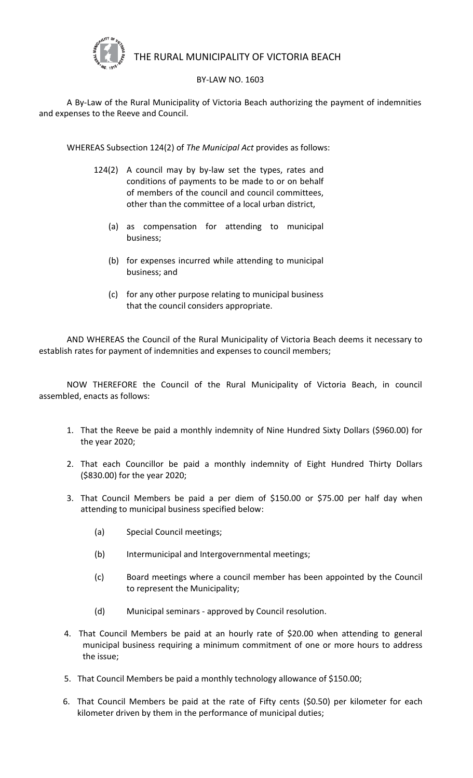

## THE RURAL MUNICIPALITY OF VICTORIA BEACH

## BY-LAW NO. 1603

A By-Law of the Rural Municipality of Victoria Beach authorizing the payment of indemnities and expenses to the Reeve and Council.

WHEREAS Subsection 124(2) of *The Municipal Act* provides as follows:

- 124(2) A council may by by-law set the types, rates and conditions of payments to be made to or on behalf of members of the council and council committees, other than the committee of a local urban district,
	- (a) as compensation for attending to municipal business;
	- (b) for expenses incurred while attending to municipal business; and
	- (c) for any other purpose relating to municipal business that the council considers appropriate.

AND WHEREAS the Council of the Rural Municipality of Victoria Beach deems it necessary to establish rates for payment of indemnities and expenses to council members;

NOW THEREFORE the Council of the Rural Municipality of Victoria Beach, in council assembled, enacts as follows:

- 1. That the Reeve be paid a monthly indemnity of Nine Hundred Sixty Dollars (\$960.00) for the year 2020;
- 2. That each Councillor be paid a monthly indemnity of Eight Hundred Thirty Dollars (\$830.00) for the year 2020;
- 3. That Council Members be paid a per diem of \$150.00 or \$75.00 per half day when attending to municipal business specified below:
	- (a) Special Council meetings;
	- (b) Intermunicipal and Intergovernmental meetings;
	- (c) Board meetings where a council member has been appointed by the Council to represent the Municipality;
	- (d) Municipal seminars approved by Council resolution.
- 4. That Council Members be paid at an hourly rate of \$20.00 when attending to general municipal business requiring a minimum commitment of one or more hours to address the issue;
- 5. That Council Members be paid a monthly technology allowance of \$150.00;
- 6. That Council Members be paid at the rate of Fifty cents (\$0.50) per kilometer for each kilometer driven by them in the performance of municipal duties;